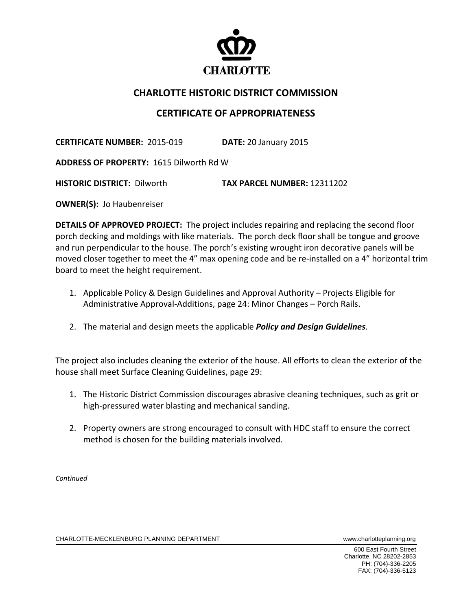

## **CHARLOTTE HISTORIC DISTRICT COMMISSION**

## **CERTIFICATE OF APPROPRIATENESS**

**CERTIFICATE NUMBER:** 2015‐019 **DATE:** 20 January 2015

**ADDRESS OF PROPERTY:** 1615 Dilworth Rd W

**HISTORIC DISTRICT:** Dilworth **TAX PARCEL NUMBER:** 12311202

**OWNER(S): Jo Haubenreiser** 

**DETAILS OF APPROVED PROJECT:** The project includes repairing and replacing the second floor porch decking and moldings with like materials. The porch deck floor shall be tongue and groove and run perpendicular to the house. The porch's existing wrought iron decorative panels will be moved closer together to meet the 4" max opening code and be re-installed on a 4" horizontal trim board to meet the height requirement.

- 1. Applicable Policy & Design Guidelines and Approval Authority Projects Eligible for Administrative Approval‐Additions, page 24: Minor Changes – Porch Rails.
- 2. The material and design meets the applicable *Policy and Design Guidelines*.

The project also includes cleaning the exterior of the house. All efforts to clean the exterior of the house shall meet Surface Cleaning Guidelines, page 29:

- 1. The Historic District Commission discourages abrasive cleaning techniques, such as grit or high-pressured water blasting and mechanical sanding.
- 2. Property owners are strong encouraged to consult with HDC staff to ensure the correct method is chosen for the building materials involved.

*Continued* 

CHARLOTTE-MECKLENBURG PLANNING DEPARTMENT WWW.charlotteplanning.org

 600 East Fourth Street Charlotte, NC 28202-2853 PH: (704)-336-2205 FAX: (704)-336-5123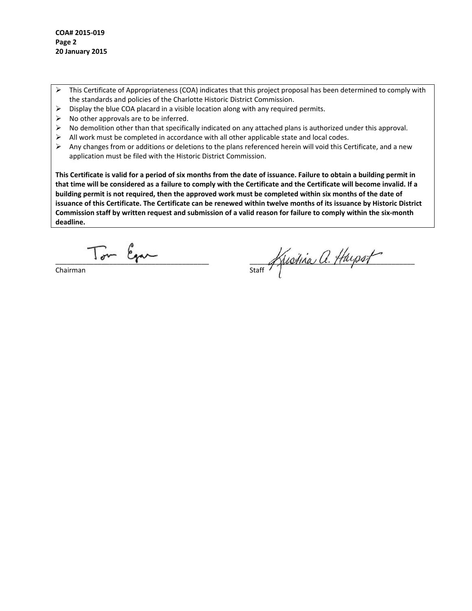- $\triangleright$  This Certificate of Appropriateness (COA) indicates that this project proposal has been determined to comply with the standards and policies of the Charlotte Historic District Commission.
- $\triangleright$  Display the blue COA placard in a visible location along with any required permits.
- $\triangleright$  No other approvals are to be inferred.
- $\triangleright$  No demolition other than that specifically indicated on any attached plans is authorized under this approval.
- $\triangleright$  All work must be completed in accordance with all other applicable state and local codes.
- $\triangleright$  Any changes from or additions or deletions to the plans referenced herein will void this Certificate, and a new application must be filed with the Historic District Commission.

This Certificate is valid for a period of six months from the date of issuance. Failure to obtain a building permit in that time will be considered as a failure to comply with the Certificate and the Certificate will become invalid. If a building permit is not required, then the approved work must be completed within six months of the date of issuance of this Certificate. The Certificate can be renewed within twelve months of its issuance by Historic District Commission staff by written request and submission of a valid reason for failure to comply within the six-month **deadline.**

 $T_{\text{max}}$   $\beta_{\text{max}}$   $\beta_{\text{max}}$   $\beta_{\text{max}}$   $\beta_{\text{max}}$   $\beta_{\text{max}}$   $\beta_{\text{max}}$   $\beta_{\text{max}}$   $\beta_{\text{max}}$   $\beta_{\text{max}}$   $\beta_{\text{max}}$   $\beta_{\text{max}}$   $\beta_{\text{max}}$   $\beta_{\text{max}}$   $\beta_{\text{max}}$   $\beta_{\text{max}}$   $\beta_{\text{max}}$   $\beta_{\text{max}}$   $\beta_{\text{max}}$   $\beta_{\text{max}}$   $\$ 

Chairman

 $M$ lotha  $U$ . Mappy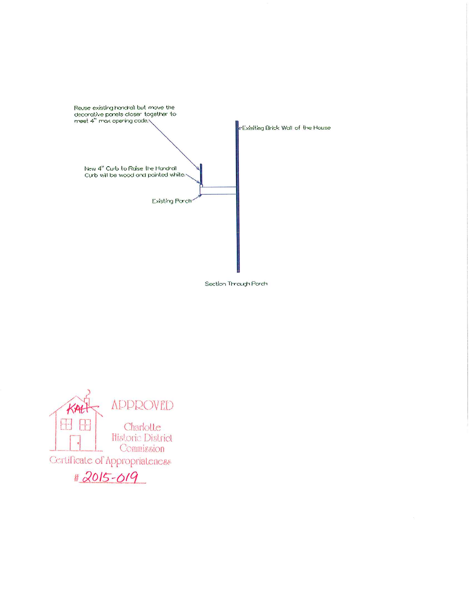

Section Through Porch